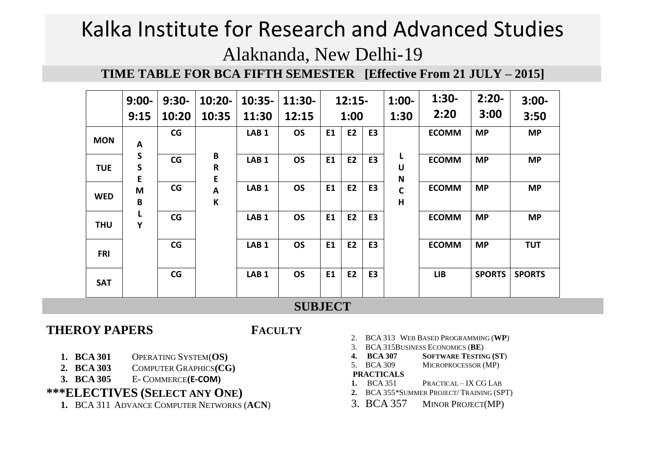**TIME TABLE FOR BCA FIFTH SEMESTER [Effective From 21 JULY – 2015]**

|            | $9:00-$<br>9:15   | $9:30-$<br>10:20 | $10:20 -$<br>10:35    | $10:35-$<br>11:30 | $11:30-$<br>12:15 |    | $12:15-$<br>1:00 |                | $1:00-$<br>1:30                | $1:30-$<br>2:20 | $2:20-$<br>3:00 | $3:00-$<br>3:50 |
|------------|-------------------|------------------|-----------------------|-------------------|-------------------|----|------------------|----------------|--------------------------------|-----------------|-----------------|-----------------|
| <b>MON</b> | A                 | CG               |                       | LAB <sub>1</sub>  | <b>OS</b>         | E1 | E <sub>2</sub>   | E <sub>3</sub> |                                | <b>ECOMM</b>    | <b>MP</b>       | <b>MP</b>       |
| <b>TUE</b> | S<br>S<br>E       | CG               | B<br>$\mathsf R$<br>E | LAB <sub>1</sub>  | <b>OS</b>         | E1 | <b>E2</b>        | E <sub>3</sub> | L<br>U<br>$\mathsf{N}$         | <b>ECOMM</b>    | <b>MP</b>       | <b>MP</b>       |
| <b>WED</b> | M<br>$\, {\bf B}$ | CG               | A<br>K                | LAB <sub>1</sub>  | <b>OS</b>         | E1 | <b>E2</b>        | E <sub>3</sub> | $\mathsf{C}$<br>$\overline{H}$ | <b>ECOMM</b>    | <b>MP</b>       | <b>MP</b>       |
| <b>THU</b> | L<br>Υ            | CG               |                       | LAB <sub>1</sub>  | <b>OS</b>         | E1 | <b>E2</b>        | E <sub>3</sub> |                                | <b>ECOMM</b>    | <b>MP</b>       | <b>MP</b>       |
| <b>FRI</b> |                   | CG               |                       | LAB <sub>1</sub>  | <b>OS</b>         | E1 | <b>E2</b>        | E <sub>3</sub> |                                | <b>ECOMM</b>    | <b>MP</b>       | <b>TUT</b>      |
| <b>SAT</b> |                   | CG               |                       | LAB <sub>1</sub>  | <b>OS</b>         | E1 | <b>E2</b>        | E <sub>3</sub> |                                | <b>LIB</b>      | <b>SPORTS</b>   | <b>SPORTS</b>   |

# **SUBJECT**

## **THEROY PAPERS FACULTY**

- **1. BCA 301** OPERATING SYSTEM(**OS)**
- **2. BCA 303** COMPUTER GRAPHICS**(CG)**
- **3. BCA 305** E- COMMERCE**(E-COM)**

### **\*\*\*ELECTIVES (SELECT ANY ONE)**

**1.** BCA 311 ADVANCE COMPUTER NETWORKS (**ACN**)

- 2. BCA 313 WEB BASED PROGRAMMING (**WP**)
- 3. BCA 315BUSINESS ECONOMICS (**BE**)
- **4. BCA 307 SOFTWARE TESTING (ST**)
- 5. BCA 309 MICROPROCESSOR (MP)

#### **PRACTICALS**

- **1.** BCA 351 PRACTICAL IX CG LAB
- **2.** BCA 355\*SUMMER PROJECT/ TRAINING (SPT)
- 3. BCA 357 MINOR PROJECT(MP)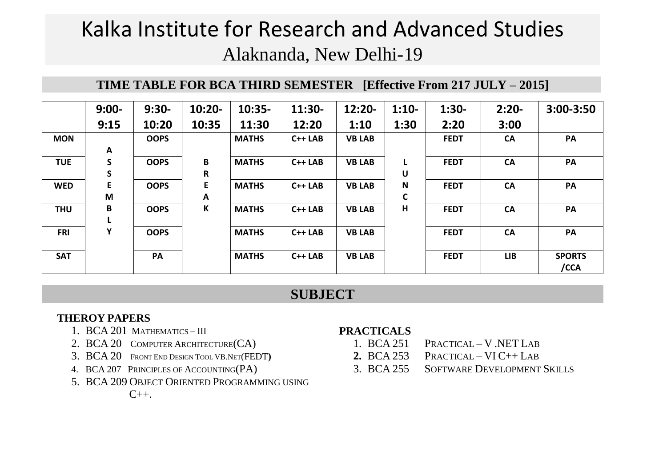# **TIME TABLE FOR BCA THIRD SEMESTER [Effective From 217 JULY – 2015]**

|            | $9:00-$      | $9:30-$     | $10:20 -$   | $10:35-$     | $11:30-$ | $12:20-$      | $1:10-$     | $1:30-$     | $2:20-$    | $3:00 - 3:50$         |
|------------|--------------|-------------|-------------|--------------|----------|---------------|-------------|-------------|------------|-----------------------|
|            | 9:15         | 10:20       | 10:35       | 11:30        | 12:20    | 1:10          | 1:30        | 2:20        | 3:00       |                       |
| <b>MON</b> |              | <b>OOPS</b> |             | <b>MATHS</b> | $C++LAB$ | <b>VB LAB</b> |             | <b>FEDT</b> | <b>CA</b>  | PA                    |
|            | A            |             |             |              |          |               |             |             |            |                       |
| <b>TUE</b> | $\mathsf{s}$ | <b>OOPS</b> | B           | <b>MATHS</b> | $C++LAB$ | <b>VB LAB</b> |             | <b>FEDT</b> | <b>CA</b>  | PA                    |
|            | S            |             | $\mathsf R$ |              |          |               | U           |             |            |                       |
| <b>WED</b> | E            | <b>OOPS</b> | E           | <b>MATHS</b> | $C++LAB$ | <b>VB LAB</b> | $\mathbf N$ | <b>FEDT</b> | <b>CA</b>  | PA                    |
|            | M            |             | A           |              |          |               | $\mathbf C$ |             |            |                       |
| <b>THU</b> | B            | <b>OOPS</b> | $\mathsf K$ | <b>MATHS</b> | $C++LAB$ | <b>VB LAB</b> | н           | <b>FEDT</b> | <b>CA</b>  | PA                    |
|            |              |             |             |              |          |               |             |             |            |                       |
| <b>FRI</b> | Y            | <b>OOPS</b> |             | <b>MATHS</b> | $C++LAB$ | <b>VB LAB</b> |             | <b>FEDT</b> | <b>CA</b>  | PA                    |
| <b>SAT</b> |              | PA          |             | <b>MATHS</b> | $C++LAB$ | <b>VB LAB</b> |             | <b>FEDT</b> | <b>LIB</b> | <b>SPORTS</b><br>/CCA |

# **SUBJECT**

### **THEROY PAPERS**

- 1. BCA 201 MATHEMATICS III
- 2. BCA 20 COMPUTER ARCHITECTURE(CA)
- 3. BCA 20 FRONT END DESIGN TOOL VB.NET(FEDT**)**
- 4. BCA 207 PRINCIPLES OF ACCOUNTING(PA)
- 5. BCA 209 OBJECT ORIENTED PROGRAMMING USING

 $C_{++}$ .

### **PRACTICALS**

- 1. BCA 251 PRACTICAL V .NET LAB
- **2.** BCA 253 PRACTICAL VI C++ LAB
- 3. BCA 255 SOFTWARE DEVELOPMENT SKILLS